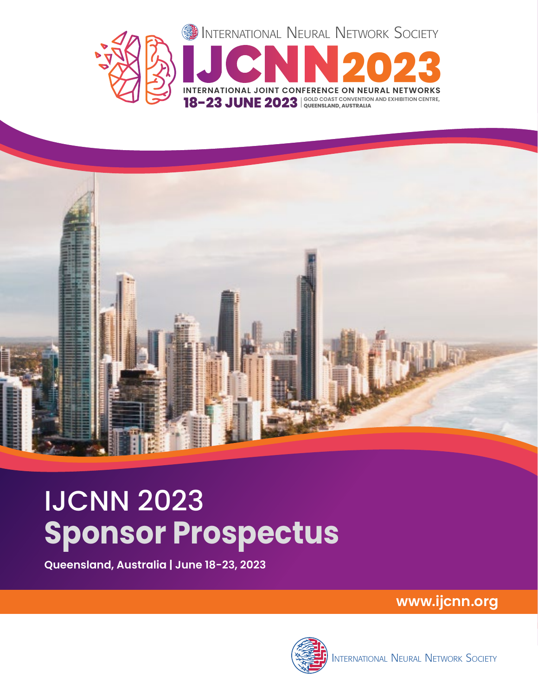



# IJCNN 2023 **Sponsor Prospectus**

**Queensland, Australia | June 18-23, 2023**

**www.ijcnn.org**

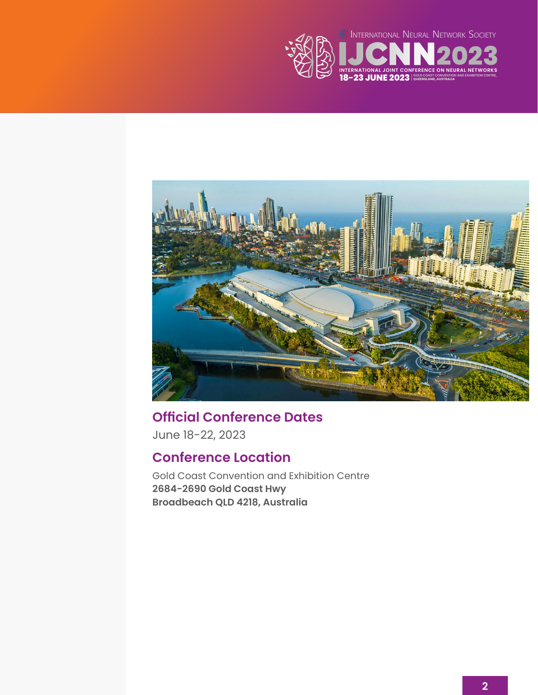



**Official Conference Dates** June 18-22, 2023

### **Conference Location**

Gold Coast Convention and Exhibition Centre **2684-2690 Gold Coast Hwy Broadbeach QLD 4218, Australia**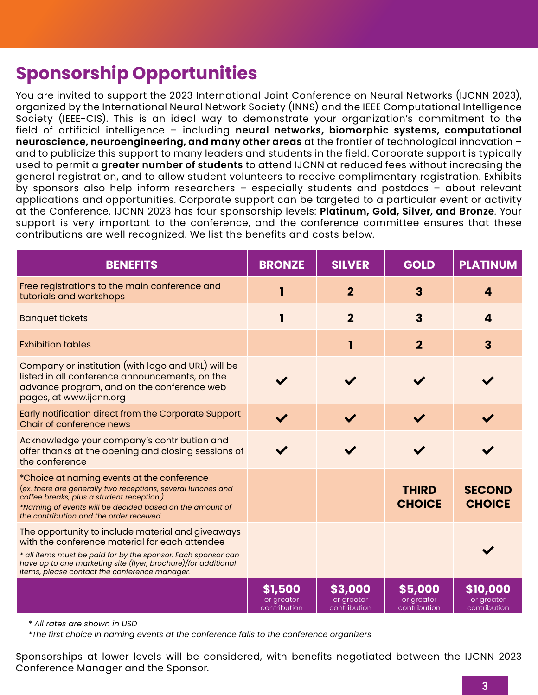## **Sponsorship Opportunities**

You are invited to support the 2023 International Joint Conference on Neural Networks (IJCNN 2023), organized by the International Neural Network Society (INNS) and the IEEE Computational Intelligence Society (IEEE-CIS). This is an ideal way to demonstrate your organization's commitment to the field of artificial intelligence – including **neural networks, biomorphic systems, computational neuroscience, neuroengineering, and many other areas** at the frontier of technological innovation – and to publicize this support to many leaders and students in the field. Corporate support is typically used to permit a **greater number of students** to attend IJCNN at reduced fees without increasing the general registration, and to allow student volunteers to receive complimentary registration. Exhibits by sponsors also help inform researchers – especially students and postdocs – about relevant applications and opportunities. Corporate support can be targeted to a particular event or activity at the Conference. IJCNN 2023 has four sponsorship levels: **Platinum, Gold, Silver, and Bronze**. Your support is very important to the conference, and the conference committee ensures that these contributions are well recognized. We list the benefits and costs below.

| <b>BENEFITS</b>                                                                                                                                                                                                                                                                         | <b>BRONZE</b>                         | <b>SILVER</b>                         | <b>GOLD</b>                           | <b>PLATINUM</b>                        |
|-----------------------------------------------------------------------------------------------------------------------------------------------------------------------------------------------------------------------------------------------------------------------------------------|---------------------------------------|---------------------------------------|---------------------------------------|----------------------------------------|
| Free registrations to the main conference and<br>tutorials and workshops                                                                                                                                                                                                                |                                       | $\mathbf{2}$                          | $\mathbf{3}$                          | 4                                      |
| <b>Banquet tickets</b>                                                                                                                                                                                                                                                                  |                                       | $\overline{2}$                        | 3                                     | 4                                      |
| <b>Exhibition tables</b>                                                                                                                                                                                                                                                                |                                       | 1                                     | $\overline{2}$                        | 3                                      |
| Company or institution (with logo and URL) will be<br>listed in all conference announcements, on the<br>advance program, and on the conference web<br>pages, at www.ijcnn.org                                                                                                           |                                       |                                       |                                       |                                        |
| Early notification direct from the Corporate Support<br>Chair of conference news                                                                                                                                                                                                        |                                       |                                       |                                       |                                        |
| Acknowledge your company's contribution and<br>offer thanks at the opening and closing sessions of<br>the conference                                                                                                                                                                    |                                       |                                       |                                       |                                        |
| *Choice at naming events at the conference<br>(ex. there are generally two receptions, several lunches and<br>coffee breaks, plus a student reception.)<br>*Naming of events will be decided based on the amount of<br>the contribution and the order received                          |                                       |                                       | <b>THIRD</b><br><b>CHOICE</b>         | <b>SECOND</b><br><b>CHOICE</b>         |
| The opportunity to include material and giveaways<br>with the conference material for each attendee<br>* all items must be paid for by the sponsor. Each sponsor can<br>have up to one marketing site (flyer, brochure)/for additional<br>items, please contact the conference manager. |                                       |                                       |                                       |                                        |
|                                                                                                                                                                                                                                                                                         | \$1,500<br>or greater<br>contribution | \$3,000<br>or greater<br>contribution | \$5,000<br>or greater<br>contribution | \$10,000<br>or greater<br>contribution |

*\* All rates are shown in USD*

*\*The first choice in naming events at the conference falls to the conference organizers*

Sponsorships at lower levels will be considered, with benefits negotiated between the IJCNN 2023 Conference Manager and the Sponsor.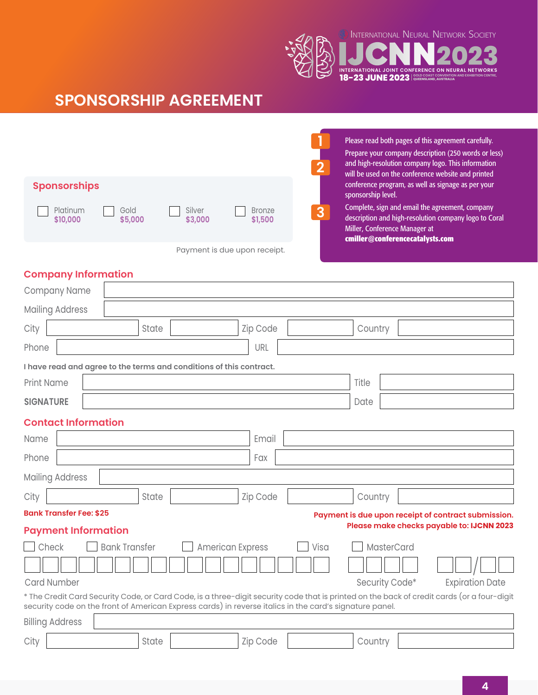INTERNATIONAL NEURAL NETWORK SOCIETY

**INTERNATIONAL JOINT CONFERENCE ON NEURAL NETWORKS 18-23 JUNE 2023** SOLD COAST CONVENTION AND EXHIBITION CENTRE,



| <b>Sponsorships</b>                     |                                               | Please read both pages of this agreement carefully.<br>Prepare your company description (250 words or less)<br>and high-resolution company logo. This information<br>will be used on the conference website and printed<br>conference program, as well as signage as per your |
|-----------------------------------------|-----------------------------------------------|-------------------------------------------------------------------------------------------------------------------------------------------------------------------------------------------------------------------------------------------------------------------------------|
| Platinum<br>Gold<br>\$5,000<br>\$10,000 | Silver<br><b>Bronze</b><br>\$3,000<br>\$1,500 | sponsorship level.<br>Complete, sign and email the agreement, company<br>3<br>description and high-resolution company logo to Coral<br>Miller, Conference Manager at<br>cmiller@conferencecatalysts.com                                                                       |
|                                         | Payment is due upon receipt.                  |                                                                                                                                                                                                                                                                               |

|  | <b>Company Information</b> |
|--|----------------------------|
|--|----------------------------|

|                                                                                                                                                                                                                                                       | Company Name               |  |                      |       |  |                         |  |  |          |  |      |  |                |            |  |                        |                                           |
|-------------------------------------------------------------------------------------------------------------------------------------------------------------------------------------------------------------------------------------------------------|----------------------------|--|----------------------|-------|--|-------------------------|--|--|----------|--|------|--|----------------|------------|--|------------------------|-------------------------------------------|
| <b>Mailing Address</b>                                                                                                                                                                                                                                |                            |  |                      |       |  |                         |  |  |          |  |      |  |                |            |  |                        |                                           |
| City                                                                                                                                                                                                                                                  |                            |  |                      | State |  |                         |  |  | Zip Code |  |      |  | Country        |            |  |                        |                                           |
| Phone                                                                                                                                                                                                                                                 |                            |  |                      |       |  |                         |  |  | URL      |  |      |  |                |            |  |                        |                                           |
| I have read and agree to the terms and conditions of this contract.                                                                                                                                                                                   |                            |  |                      |       |  |                         |  |  |          |  |      |  |                |            |  |                        |                                           |
| <b>Print Name</b>                                                                                                                                                                                                                                     |                            |  |                      |       |  |                         |  |  | Title    |  |      |  |                |            |  |                        |                                           |
| <b>SIGNATURE</b>                                                                                                                                                                                                                                      |                            |  |                      |       |  |                         |  |  |          |  |      |  | Date           |            |  |                        |                                           |
| <b>Contact Information</b>                                                                                                                                                                                                                            |                            |  |                      |       |  |                         |  |  |          |  |      |  |                |            |  |                        |                                           |
| Name                                                                                                                                                                                                                                                  |                            |  |                      |       |  |                         |  |  | Email    |  |      |  |                |            |  |                        |                                           |
| Phone                                                                                                                                                                                                                                                 |                            |  |                      |       |  |                         |  |  | Fax      |  |      |  |                |            |  |                        |                                           |
|                                                                                                                                                                                                                                                       | <b>Mailing Address</b>     |  |                      |       |  |                         |  |  |          |  |      |  |                |            |  |                        |                                           |
| City                                                                                                                                                                                                                                                  |                            |  |                      | State |  |                         |  |  | Zip Code |  |      |  | Country        |            |  |                        |                                           |
| <b>Bank Transfer Fee: \$25</b><br>Payment is due upon receipt of contract submission.                                                                                                                                                                 |                            |  |                      |       |  |                         |  |  |          |  |      |  |                |            |  |                        |                                           |
|                                                                                                                                                                                                                                                       | <b>Payment Information</b> |  |                      |       |  |                         |  |  |          |  |      |  |                |            |  |                        | Please make checks payable to: IJCNN 2023 |
|                                                                                                                                                                                                                                                       | Check                      |  | <b>Bank Transfer</b> |       |  | <b>American Express</b> |  |  |          |  | Visa |  |                | MasterCard |  |                        |                                           |
|                                                                                                                                                                                                                                                       |                            |  |                      |       |  |                         |  |  |          |  |      |  |                |            |  |                        |                                           |
|                                                                                                                                                                                                                                                       | <b>Card Number</b>         |  |                      |       |  |                         |  |  |          |  |      |  | Security Code* |            |  | <b>Expiration Date</b> |                                           |
| * The Credit Card Security Code, or Card Code, is a three-digit security code that is printed on the back of credit cards (or a four-digit<br>security code on the front of American Express cards) in reverse italics in the card's signature panel. |                            |  |                      |       |  |                         |  |  |          |  |      |  |                |            |  |                        |                                           |
|                                                                                                                                                                                                                                                       | <b>Billing Address</b>     |  |                      |       |  |                         |  |  |          |  |      |  |                |            |  |                        |                                           |
| City                                                                                                                                                                                                                                                  |                            |  |                      | State |  |                         |  |  | Zip Code |  |      |  | Country        |            |  |                        |                                           |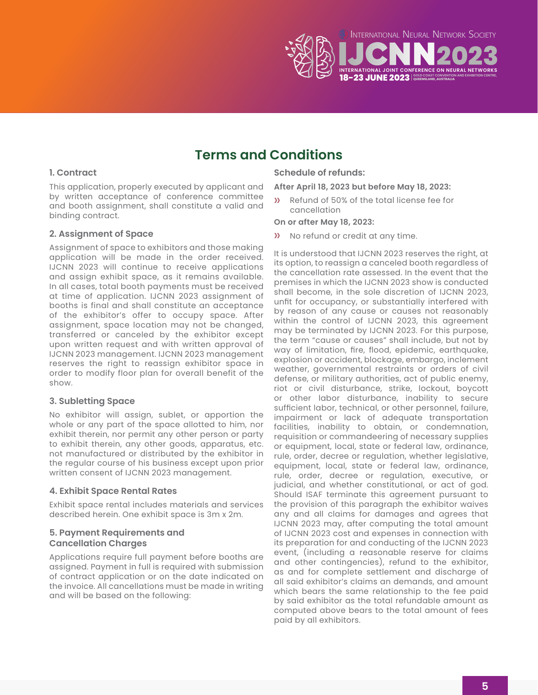

## **Terms and Conditions**

#### **1. Contract**

This application, properly executed by applicant and by written acceptance of conference committee and booth assignment, shall constitute a valid and binding contract.

#### **2. Assignment of Space**

Assignment of space to exhibitors and those making application will be made in the order received. IJCNN 2023 will continue to receive applications and assign exhibit space, as it remains available. In all cases, total booth payments must be received at time of application. IJCNN 2023 assignment of booths is final and shall constitute an acceptance of the exhibitor's offer to occupy space. After assignment, space location may not be changed, transferred or canceled by the exhibitor except upon written request and with written approval of IJCNN 2023 management. IJCNN 2023 management reserves the right to reassign exhibitor space in order to modify floor plan for overall benefit of the show.

#### **3. Subletting Space**

No exhibitor will assign, sublet, or apportion the whole or any part of the space allotted to him, nor exhibit therein, nor permit any other person or party to exhibit therein, any other goods, apparatus, etc. not manufactured or distributed by the exhibitor in the regular course of his business except upon prior written consent of IJCNN 2023 management.

#### **4. Exhibit Space Rental Rates**

Exhibit space rental includes materials and services described herein. One exhibit space is 3m x 2m.

#### **5. Payment Requirements and Cancellation Charges**

Applications require full payment before booths are assigned. Payment in full is required with submission of contract application or on the date indicated on the invoice. All cancellations must be made in writing and will be based on the following:

#### **Schedule of refunds:**

#### **After April 18, 2023 but before May 18, 2023:**

» Refund of 50% of the total license fee for cancellation

#### **On or after May 18, 2023:**

» No refund or credit at any time.

It is understood that IJCNN 2023 reserves the right, at its option, to reassign a canceled booth regardless of the cancellation rate assessed. In the event that the premises in which the IJCNN 2023 show is conducted shall become, in the sole discretion of IJCNN 2023, unfit for occupancy, or substantially interfered with by reason of any cause or causes not reasonably within the control of IJCNN 2023, this agreement may be terminated by IJCNN 2023. For this purpose, the term "cause or causes" shall include, but not by way of limitation, fire, flood, epidemic, earthquake, explosion or accident, blockage, embargo, inclement weather, governmental restraints or orders of civil defense, or military authorities, act of public enemy, riot or civil disturbance, strike, lockout, boycott or other labor disturbance, inability to secure sufficient labor, technical, or other personnel, failure, impairment or lack of adequate transportation facilities, inability to obtain, or condemnation, requisition or commandeering of necessary supplies or equipment, local, state or federal law, ordinance, rule, order, decree or regulation, whether legislative, equipment, local, state or federal law, ordinance, rule, order, decree or regulation, executive, or judicial, and whether constitutional, or act of god. Should ISAF terminate this agreement pursuant to the provision of this paragraph the exhibitor waives any and all claims for damages and agrees that IJCNN 2023 may, after computing the total amount of IJCNN 2023 cost and expenses in connection with its preparation for and conducting of the IJCNN 2023 event, (including a reasonable reserve for claims and other contingencies), refund to the exhibitor, as and for complete settlement and discharge of all said exhibitor's claims an demands, and amount which bears the same relationship to the fee paid by said exhibitor as the total refundable amount as computed above bears to the total amount of fees paid by all exhibitors.